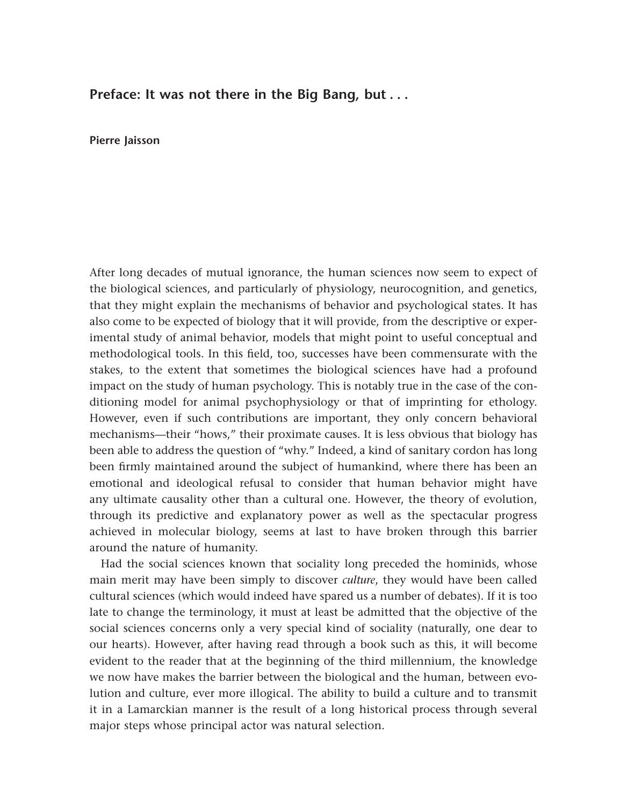## **Preface: It was not there in the Big Bang, but . . .**

## **Pierre Jaisson**

After long decades of mutual ignorance, the human sciences now seem to expect of the biological sciences, and particularly of physiology, neurocognition, and genetics, that they might explain the mechanisms of behavior and psychological states. It has also come to be expected of biology that it will provide, from the descriptive or experimental study of animal behavior, models that might point to useful conceptual and methodological tools. In this field, too, successes have been commensurate with the stakes, to the extent that sometimes the biological sciences have had a profound impact on the study of human psychology. This is notably true in the case of the conditioning model for animal psychophysiology or that of imprinting for ethology. However, even if such contributions are important, they only concern behavioral mechanisms—their "hows," their proximate causes. It is less obvious that biology has been able to address the question of "why." Indeed, a kind of sanitary cordon has long been firmly maintained around the subject of humankind, where there has been an [emotional and ideological refusal to consider that human behavior might have](#page--1-0)  any ultimate causality other than a cultural one. However, the theory of evolution, through its predictive and explanatory power as well as the spectacular progress achieved in molecular biology, seems at last to have broken through this barrier around the nature of humanity.

Had the social sciences known that sociality long preceded the hominids, whose main merit may have been simply to discover *culture*, they would have been called cultural sciences (which would indeed have spared us a number of debates). If it is too late to change the terminology, it must at least be admitted that the objective of the social sciences concerns only a very special kind of sociality (naturally, one dear to our hearts). However, after having read through a book such as this, it will become evident to the reader that at the beginning of the third millennium, the knowledge we now have makes the barrier between the biological and the human, between evolution and culture, ever more illogical. The ability to build a culture and to transmit it in a Lamarckian manner is the result of a long historical process through several major steps whose principal actor was natural selection.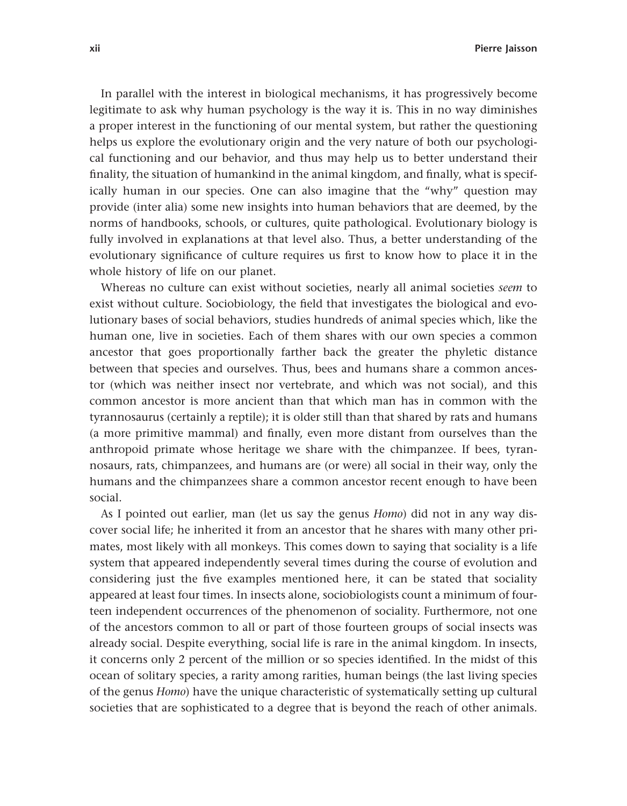**xii Pierre Jaisson**

In parallel with the interest in biological mechanisms, it has progressively become legitimate to ask why human psychology is the way it is. This in no way diminishes a proper interest in the functioning of our mental system, but rather the questioning helps us explore the evolutionary origin and the very nature of both our psychological functioning and our behavior, and thus may help us to better understand their finality, the situation of humankind in the animal kingdom, and finally, what is specifically human in our species. One can also imagine that the "why" question may provide (inter alia) some new insights into human behaviors that are deemed, by the norms of handbooks, schools, or cultures, quite pathological. Evolutionary biology is fully involved in explanations at that level also. Thus, a better understanding of the evolutionary significance of culture requires us first to know how to place it in the whole history of life on our planet.

Whereas no culture can exist without societies, nearly all animal societies *seem* to exist without culture. Sociobiology, the field that investigates the biological and evolutionary bases of social behaviors, studies hundreds of animal species which, like the human one, live in societies. Each of them shares with our own species a common ancestor that goes proportionally farther back the greater the phyletic distance between that species and ourselves. Thus, bees and humans share a common ancestor (which was neither insect nor vertebrate, and which was not social), and this common ancestor is more ancient than that which man has in common with the tyrannosaurus (certainly a reptile); it is older still than that shared by rats and humans (a more primitive mammal) and finally, even more distant from ourselves than the anthropoid primate whose heritage we share with the chimpanzee. If bees, tyrannosaurs, rats, chimpanzees, and humans are (or were) all social in their way, only the humans and the chimpanzees share a common ancestor recent enough to have been social.

As I pointed out earlier, man (let us say the genus *Homo*) did not in any way discover social life; he inherited it from an ancestor that he shares with many other primates, most likely with all monkeys. This comes down to saying that sociality is a life system that appeared independently several times during the course of evolution and considering just the five examples mentioned here, it can be stated that sociality appeared at least four times. In insects alone, sociobiologists count a minimum of fourteen independent occurrences of the phenomenon of sociality. Furthermore, not one of the ancestors common to all or part of those fourteen groups of social insects was already social. Despite everything, social life is rare in the animal kingdom. In insects, it concerns only 2 percent of the million or so species identified. In the midst of this ocean of solitary species, a rarity among rarities, human beings (the last living species of the genus *Homo*) have the unique characteristic of systematically setting up cultural societies that are sophisticated to a degree that is beyond the reach of other animals.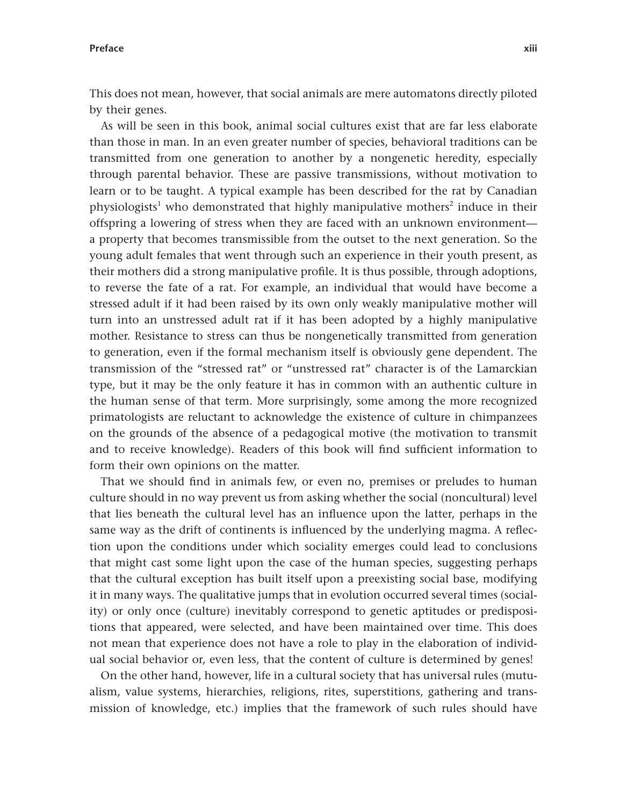**Preface xiii**

This does not mean, however, that social animals are mere automatons directly piloted by their genes.

As will be seen in this book, animal social cultures exist that are far less elaborate than those in man. In an even greater number of species, behavioral traditions can be transmitted from one generation to another by a nongenetic heredity, especially through parental behavior. These are passive transmissions, without motivation to learn or to be taught. A typical example has been described for the rat by Canadian physiologists<sup>1</sup> who demonstrated that highly manipulative mothers<sup>2</sup> induce in their offspring a lowering of stress when they are faced with an unknown environment a property that becomes transmissible from the outset to the next generation. So the young adult females that went through such an experience in their youth present, as their mothers did a strong manipulative profile. It is thus possible, through adoptions, to reverse the fate of a rat. For example, an individual that would have become a stressed adult if it had been raised by its own only weakly manipulative mother will turn into an unstressed adult rat if it has been adopted by a highly manipulative mother. Resistance to stress can thus be nongenetically transmitted from generation to generation, even if the formal mechanism itself is obviously gene dependent. The transmission of the "stressed rat" or "unstressed rat" character is of the Lamarckian type, but it may be the only feature it has in common with an authentic culture in the human sense of that term. More surprisingly, some among the more recognized primatologists are reluctant to acknowledge the existence of culture in chimpanzees on the grounds of the absence of a pedagogical motive (the motivation to transmit and to receive knowledge). Readers of this book will find sufficient information to form their own opinions on the matter.

That we should find in animals few, or even no, premises or preludes to human culture should in no way prevent us from asking whether the social (noncultural) level that lies beneath the cultural level has an influence upon the latter, perhaps in the same way as the drift of continents is influenced by the underlying magma. A reflection upon the conditions under which sociality emerges could lead to conclusions that might cast some light upon the case of the human species, suggesting perhaps that the cultural exception has built itself upon a preexisting social base, modifying it in many ways. The qualitative jumps that in evolution occurred several times (sociality) or only once (culture) inevitably correspond to genetic aptitudes or predispositions that appeared, were selected, and have been maintained over time. This does not mean that experience does not have a role to play in the elaboration of individual social behavior or, even less, that the content of culture is determined by genes!

On the other hand, however, life in a cultural society that has universal rules (mutualism, value systems, hierarchies, religions, rites, superstitions, gathering and transmission of knowledge, etc.) implies that the framework of such rules should have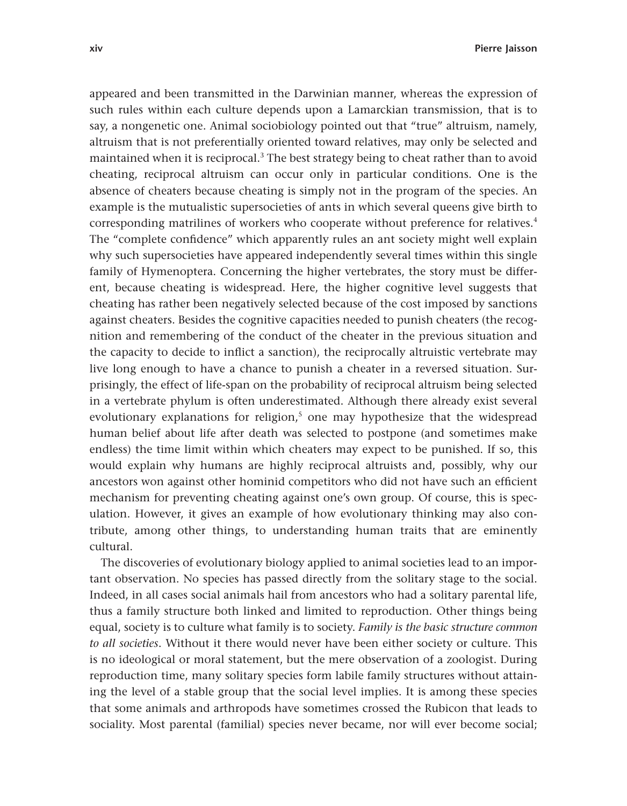appeared and been transmitted in the Darwinian manner, whereas the expression of such rules within each culture depends upon a Lamarckian transmission, that is to say, a nongenetic one. Animal sociobiology pointed out that "true" altruism, namely, altruism that is not preferentially oriented toward relatives, may only be selected and maintained when it is reciprocal.<sup>3</sup> The best strategy being to cheat rather than to avoid cheating, reciprocal altruism can occur only in particular conditions. One is the absence of cheaters because cheating is simply not in the program of the species. An example is the mutualistic supersocieties of ants in which several queens give birth to corresponding matrilines of workers who cooperate without preference for relatives.4 The "complete confidence" which apparently rules an ant society might well explain why such supersocieties have appeared independently several times within this single family of Hymenoptera. Concerning the higher vertebrates, the story must be different, because cheating is widespread. Here, the higher cognitive level suggests that cheating has rather been negatively selected because of the cost imposed by sanctions against cheaters. Besides the cognitive capacities needed to punish cheaters (the recognition and remembering of the conduct of the cheater in the previous situation and the capacity to decide to inflict a sanction), the reciprocally altruistic vertebrate may live long enough to have a chance to punish a cheater in a reversed situation. Surprisingly, the effect of life-span on the probability of reciprocal altruism being selected in a vertebrate phylum is often underestimated. Although there already exist several evolutionary explanations for religion, $5$  one may hypothesize that the widespread human belief about life after death was selected to postpone (and sometimes make endless) the time limit within which cheaters may expect to be punished. If so, this would explain why humans are highly reciprocal altruists and, possibly, why our ancestors won against other hominid competitors who did not have such an efficient mechanism for preventing cheating against one's own group. Of course, this is speculation. However, it gives an example of how evolutionary thinking may also contribute, among other things, to understanding human traits that are eminently cultural.

The discoveries of evolutionary biology applied to animal societies lead to an important observation. No species has passed directly from the solitary stage to the social. Indeed, in all cases social animals hail from ancestors who had a solitary parental life, thus a family structure both linked and limited to reproduction. Other things being equal, society is to culture what family is to society. *Family is the basic structure common to all societies*. Without it there would never have been either society or culture. This is no ideological or moral statement, but the mere observation of a zoologist. During reproduction time, many solitary species form labile family structures without attaining the level of a stable group that the social level implies. It is among these species that some animals and arthropods have sometimes crossed the Rubicon that leads to sociality. Most parental (familial) species never became, nor will ever become social;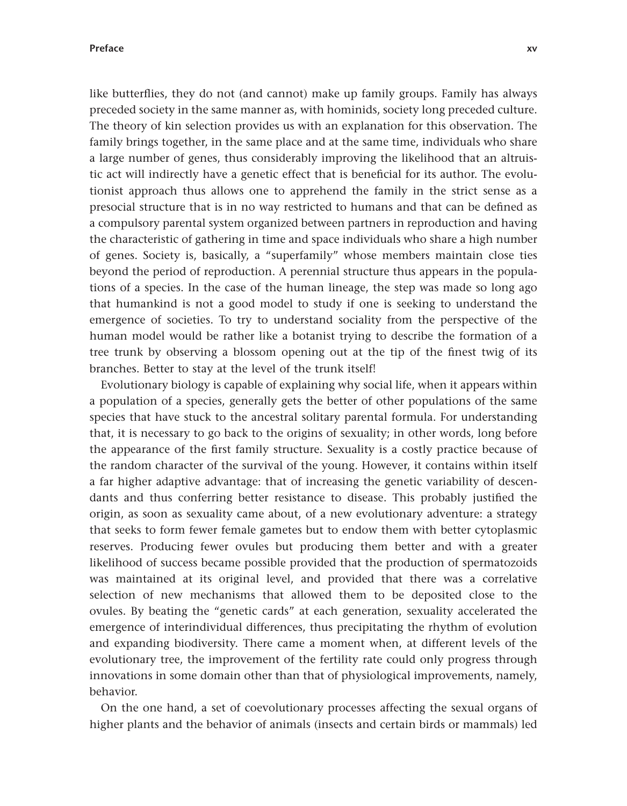**Preface xv**

like butterflies, they do not (and cannot) make up family groups. Family has always preceded society in the same manner as, with hominids, society long preceded culture. The theory of kin selection provides us with an explanation for this observation. The family brings together, in the same place and at the same time, individuals who share a large number of genes, thus considerably improving the likelihood that an altruistic act will indirectly have a genetic effect that is beneficial for its author. The evolutionist approach thus allows one to apprehend the family in the strict sense as a presocial structure that is in no way restricted to humans and that can be defined as a compulsory parental system organized between partners in reproduction and having the characteristic of gathering in time and space individuals who share a high number of genes. Society is, basically, a "superfamily" whose members maintain close ties beyond the period of reproduction. A perennial structure thus appears in the populations of a species. In the case of the human lineage, the step was made so long ago that humankind is not a good model to study if one is seeking to understand the emergence of societies. To try to understand sociality from the perspective of the human model would be rather like a botanist trying to describe the formation of a tree trunk by observing a blossom opening out at the tip of the finest twig of its branches. Better to stay at the level of the trunk itself!

Evolutionary biology is capable of explaining why social life, when it appears within a population of a species, generally gets the better of other populations of the same species that have stuck to the ancestral solitary parental formula. For understanding that, it is necessary to go back to the origins of sexuality; in other words, long before the appearance of the first family structure. Sexuality is a costly practice because of the random character of the survival of the young. However, it contains within itself a far higher adaptive advantage: that of increasing the genetic variability of descendants and thus conferring better resistance to disease. This probably justified the origin, as soon as sexuality came about, of a new evolutionary adventure: a strategy that seeks to form fewer female gametes but to endow them with better cytoplasmic reserves. Producing fewer ovules but producing them better and with a greater likelihood of success became possible provided that the production of spermatozoids was maintained at its original level, and provided that there was a correlative selection of new mechanisms that allowed them to be deposited close to the ovules. By beating the "genetic cards" at each generation, sexuality accelerated the emergence of interindividual differences, thus precipitating the rhythm of evolution and expanding biodiversity. There came a moment when, at different levels of the evolutionary tree, the improvement of the fertility rate could only progress through innovations in some domain other than that of physiological improvements, namely, behavior.

On the one hand, a set of coevolutionary processes affecting the sexual organs of higher plants and the behavior of animals (insects and certain birds or mammals) led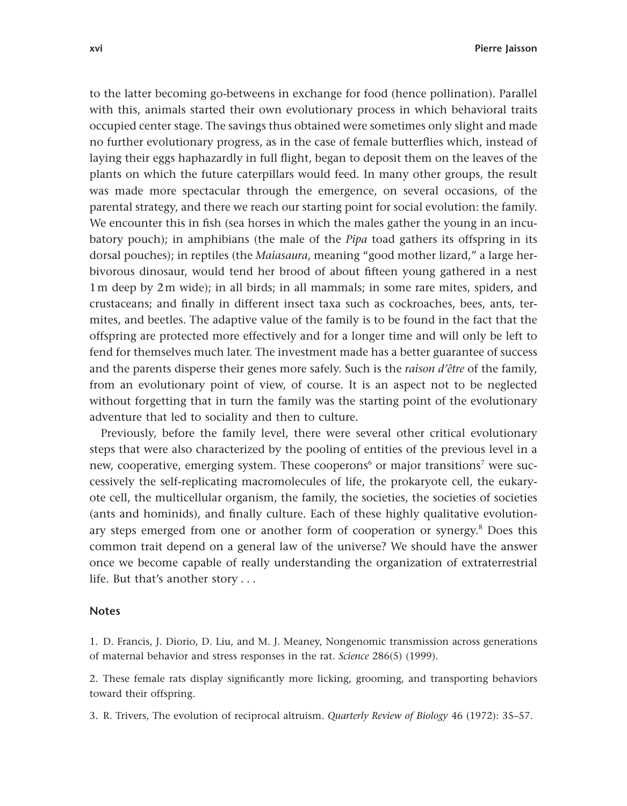to the latter becoming go-betweens in exchange for food (hence pollination). Parallel with this, animals started their own evolutionary process in which behavioral traits occupied center stage. The savings thus obtained were sometimes only slight and made no further evolutionary progress, as in the case of female butterflies which, instead of laying their eggs haphazardly in full flight, began to deposit them on the leaves of the plants on which the future caterpillars would feed. In many other groups, the result was made more spectacular through the emergence, on several occasions, of the parental strategy, and there we reach our starting point for social evolution: the family. We encounter this in fish (sea horses in which the males gather the young in an incubatory pouch); in amphibians (the male of the *Pipa* toad gathers its offspring in its dorsal pouches); in reptiles (the *Maiasaura*, meaning "good mother lizard," a large herbivorous dinosaur, would tend her brood of about fifteen young gathered in a nest 1m deep by 2m wide); in all birds; in all mammals; in some rare mites, spiders, and crustaceans; and finally in different insect taxa such as cockroaches, bees, ants, termites, and beetles. The adaptive value of the family is to be found in the fact that the offspring are protected more effectively and for a longer time and will only be left to fend for themselves much later. The investment made has a better guarantee of success and the parents disperse their genes more safely. Such is the *raison d'être* of the family, from an evolutionary point of view, of course. It is an aspect not to be neglected without forgetting that in turn the family was the starting point of the evolutionary adventure that led to sociality and then to culture.

Previously, before the family level, there were several other critical evolutionary steps that were also characterized by the pooling of entities of the previous level in a new, cooperative, emerging system. These cooperons<sup>6</sup> or major transitions<sup>7</sup> were successively the self-replicating macromolecules of life, the prokaryote cell, the eukaryote cell, the multicellular organism, the family, the societies, the societies of societies (ants and hominids), and finally culture. Each of these highly qualitative evolutionary steps emerged from one or another form of cooperation or synergy.8 Does this common trait depend on a general law of the universe? We should have the answer once we become capable of really understanding the organization of extraterrestrial life. But that's another story...

## **Notes**

1. D. Francis, J. Diorio, D. Liu, and M. J. Meaney, Nongenomic transmission across generations of maternal behavior and stress responses in the rat. *Science* 286(5) (1999).

2. These female rats display significantly more licking, grooming, and transporting behaviors toward their offspring.

3. R. Trivers, The evolution of reciprocal altruism. *Quarterly Review of Biology* 46 (1972): 35–57.